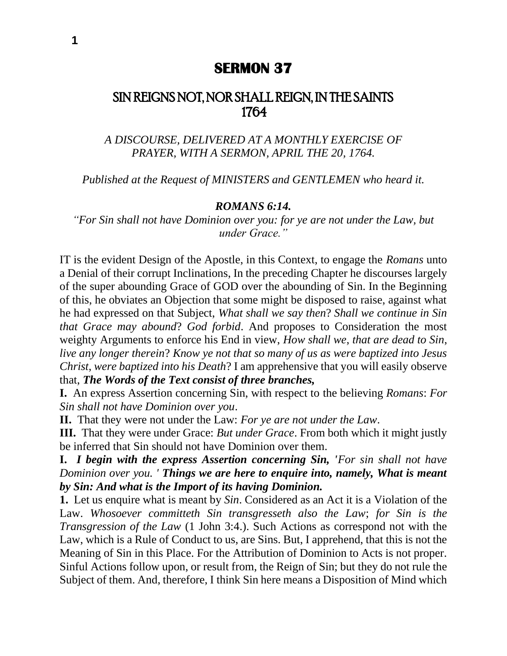## **SERMON 37**

# SIN REIGNS NOT, NOR SHALL REIGN, IN THE SAINTS 1764

*A DISCOURSE, DELIVERED AT A MONTHLY EXERCISE OF PRAYER, WITH A SERMON, APRIL THE 20, 1764.*

*Published at the Request of MINISTERS and GENTLEMEN who heard it.*

#### *ROMANS 6:14.*

*"For Sin shall not have Dominion over you: for ye are not under the Law, but under Grace."*

IT is the evident Design of the Apostle, in this Context, to engage the *Romans* unto a Denial of their corrupt Inclinations, In the preceding Chapter he discourses largely of the super abounding Grace of GOD over the abounding of Sin. In the Beginning of this, he obviates an Objection that some might be disposed to raise, against what he had expressed on that Subject, *What shall we say then*? *Shall we continue in Sin that Grace may abound*? *God forbid*. And proposes to Consideration the most weighty Arguments to enforce his End in view, *How shall we*, *that are dead to Sin*, *live any longer therein*? *Know ye not that so many of us as were baptized into Jesus Christ*, *were baptized into his Death*? I am apprehensive that you will easily observe that, *The Words of the Text consist of three branches,*

**I.** An express Assertion concerning Sin, with respect to the believing *Romans*: *For Sin shall not have Dominion over you*.

**II.** That they were not under the Law: *For ye are not under the Law*.

**III.** That they were under Grace: *But under Grace*. From both which it might justly be inferred that Sin should not have Dominion over them.

**I.** *I begin with the express Assertion concerning Sin, 'For sin shall not have Dominion over you. ' Things we are here to enquire into, namely, What is meant by Sin: And what is the Import of its having Dominion.*

**1.** Let us enquire what is meant by *Sin*. Considered as an Act it is a Violation of the Law. *Whosoever committeth Sin transgresseth also the Law*; *for Sin is the Transgression of the Law* (1 John 3:4.). Such Actions as correspond not with the Law, which is a Rule of Conduct to us, are Sins. But, I apprehend, that this is not the Meaning of Sin in this Place. For the Attribution of Dominion to Acts is not proper. Sinful Actions follow upon, or result from, the Reign of Sin; but they do not rule the Subject of them. And, therefore, I think Sin here means a Disposition of Mind which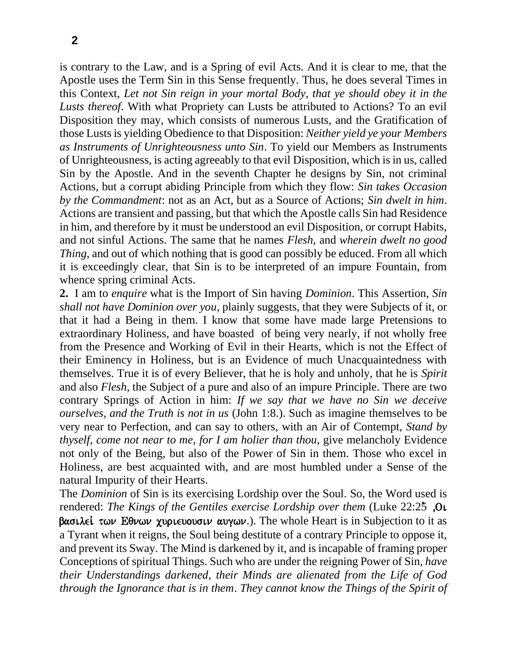is contrary to the Law, and is a Spring of evil Acts. And it is clear to me, that the Apostle uses the Term Sin in this Sense frequently. Thus, he does several Times in this Context, *Let not Sin reign in your mortal Body*, *that ye should obey it in the Lusts thereof*. With what Propriety can Lusts be attributed to Actions? To an evil Disposition they may, which consists of numerous Lusts, and the Gratification of those Lusts is yielding Obedience to that Disposition: *Neither yield ye your Members as Instruments of Unrighteousness unto Sin*. To yield our Members as Instruments of Unrighteousness, is acting agreeably to that evil Disposition, which is in us, called Sin by the Apostle. And in the seventh Chapter he designs by Sin, not criminal Actions, but a corrupt abiding Principle from which they flow: *Sin takes Occasion by the Commandment*: not as an Act, but as a Source of Actions; *Sin dwelt in him*. Actions are transient and passing, but that which the Apostle calls Sin had Residence in him, and therefore by it must be understood an evil Disposition, or corrupt Habits, and not sinful Actions. The same that he names *Flesh*, and *wherein dwelt no good Thing*, and out of which nothing that is good can possibly be educed. From all which it is exceedingly clear, that Sin is to be interpreted of an impure Fountain, from whence spring criminal Acts.

**2.** I am to *enquire* what is the Import of Sin having *Dominion*. This Assertion, *Sin shall not have Dominion over you*, plainly suggests, that they were Subjects of it, or that it had a Being in them. I know that some have made large Pretensions to extraordinary Holiness, and have boasted of being very nearly, if not wholly free from the Presence and Working of Evil in their Hearts, which is not the Effect of their Eminency in Holiness, but is an Evidence of much Unacquaintedness with themselves. True it is of every Believer, that he is holy and unholy, that he is *Spirit*  and also *Flesh*, the Subject of a pure and also of an impure Principle. There are two contrary Springs of Action in him: *If we say that we have no Sin we deceive ourselves*, *and the Truth is not in us* (John 1:8.). Such as imagine themselves to be very near to Perfection, and can say to others, with an Air of Contempt, *Stand by thyself*, *come not near to me*, *for I am holier than thou*, give melancholy Evidence not only of the Being, but also of the Power of Sin in them. Those who excel in Holiness, are best acquainted with, and are most humbled under a Sense of the natural Impurity of their Hearts.

The *Dominion* of Sin is its exercising Lordship over the Soul. So, the Word used is rendered: *The Kings of the Gentiles exercise Lordship over them* (Luke 22:25. (Oi  $\beta$ ασιλεί των Εθνων χυριευουσιν αυγων.). The whole Heart is in Subjection to it as a Tyrant when it reigns, the Soul being destitute of a contrary Principle to oppose it, and prevent its Sway. The Mind is darkened by it, and is incapable of framing proper Conceptions of spiritual Things. Such who are under the reigning Power of Sin, *have their Understandings darkened*, *their Minds are alienated from the Life of God through the Ignorance that is in them*. *They cannot know the Things of the Spirit of*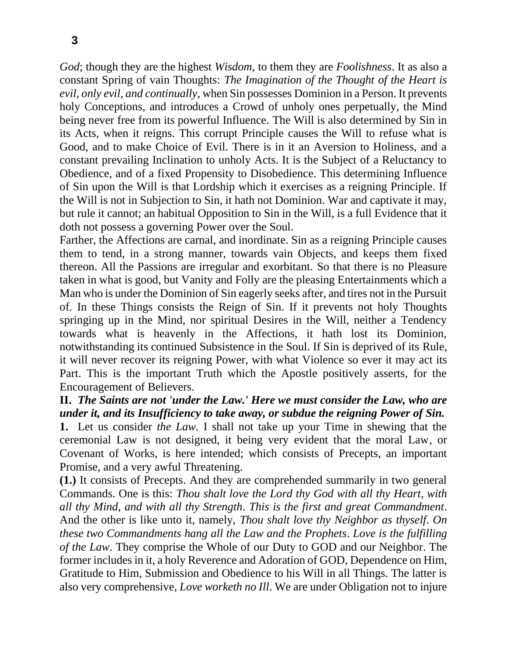*God*; though they are the highest *Wisdom*, to them they are *Foolishness*. It as also a constant Spring of vain Thoughts: *The Imagination of the Thought of the Heart is evil*, *only evil*, *and continually*, when Sin possesses Dominion in a Person. It prevents holy Conceptions, and introduces a Crowd of unholy ones perpetually, the Mind being never free from its powerful Influence. The Will is also determined by Sin in its Acts, when it reigns. This corrupt Principle causes the Will to refuse what is Good, and to make Choice of Evil. There is in it an Aversion to Holiness, and a constant prevailing Inclination to unholy Acts. It is the Subject of a Reluctancy to Obedience, and of a fixed Propensity to Disobedience. This determining Influence of Sin upon the Will is that Lordship which it exercises as a reigning Principle. If the Will is not in Subjection to Sin, it hath not Dominion. War and captivate it may, but rule it cannot; an habitual Opposition to Sin in the Will, is a full Evidence that it doth not possess a governing Power over the Soul.

Farther, the Affections are carnal, and inordinate. Sin as a reigning Principle causes them to tend, in a strong manner, towards vain Objects, and keeps them fixed thereon. All the Passions are irregular and exorbitant. So that there is no Pleasure taken in what is good, but Vanity and Folly are the pleasing Entertainments which a Man who is under the Dominion of Sin eagerly seeks after, and tires not in the Pursuit of. In these Things consists the Reign of Sin. If it prevents not holy Thoughts springing up in the Mind, nor spiritual Desires in the Will, neither a Tendency towards what is heavenly in the Affections, it hath lost its Dominion, notwithstanding its continued Subsistence in the Soul. If Sin is deprived of its Rule, it will never recover its reigning Power, with what Violence so ever it may act its Part. This is the important Truth which the Apostle positively asserts, for the Encouragement of Believers.

#### **II.** *The Saints are not 'under the Law.' Here we must consider the Law, who are under it, and its Insufficiency to take away, or subdue the reigning Power of Sin.*

**1.** Let us consider *the Law.* I shall not take up your Time in shewing that the ceremonial Law is not designed, it being very evident that the moral Law, or Covenant of Works, is here intended; which consists of Precepts, an important Promise, and a very awful Threatening.

**(1.)** It consists of Precepts. And they are comprehended summarily in two general Commands. One is this: *Thou shalt love the Lord thy God with all thy Heart*, *with all thy Mind*, *and with all thy Strength*. *This is the first and great Commandment*. And the other is like unto it, namely, *Thou shalt love thy Neighbor as thyself*. *On these two Commandments hang all the Law and the Prophets*. *Love is the fulfilling of the Law*. They comprise the Whole of our Duty to GOD and our Neighbor. The former includes in it, a holy Reverence and Adoration of GOD, Dependence on Him, Gratitude to Him, Submission and Obedience to his Will in all Things. The latter is also very comprehensive, *Love worketh no Ill*. We are under Obligation not to injure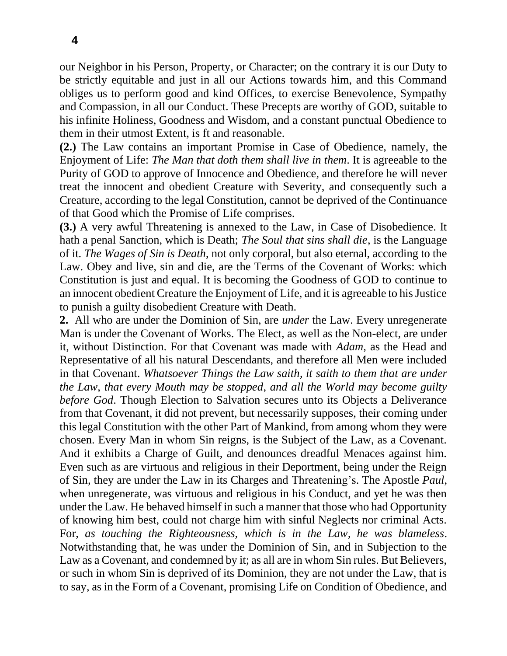our Neighbor in his Person, Property, or Character; on the contrary it is our Duty to be strictly equitable and just in all our Actions towards him, and this Command obliges us to perform good and kind Offices, to exercise Benevolence, Sympathy and Compassion, in all our Conduct. These Precepts are worthy of GOD, suitable to his infinite Holiness, Goodness and Wisdom, and a constant punctual Obedience to them in their utmost Extent, is ft and reasonable.

**(2.)** The Law contains an important Promise in Case of Obedience, namely, the Enjoyment of Life: *The Man that doth them shall live in them*. It is agreeable to the Purity of GOD to approve of Innocence and Obedience, and therefore he will never treat the innocent and obedient Creature with Severity, and consequently such a Creature, according to the legal Constitution, cannot be deprived of the Continuance of that Good which the Promise of Life comprises.

**(3.)** A very awful Threatening is annexed to the Law, in Case of Disobedience. It hath a penal Sanction, which is Death; *The Soul that sins shall die*, is the Language of it. *The Wages of Sin is Death*, not only corporal, but also eternal, according to the Law. Obey and live, sin and die, are the Terms of the Covenant of Works: which Constitution is just and equal. It is becoming the Goodness of GOD to continue to an innocent obedient Creature the Enjoyment of Life, and it is agreeable to his Justice to punish a guilty disobedient Creature with Death.

**2.** All who are under the Dominion of Sin, are *under* the Law. Every unregenerate Man is under the Covenant of Works. The Elect, as well as the Non-elect, are under it, without Distinction. For that Covenant was made with *Adam*, as the Head and Representative of all his natural Descendants, and therefore all Men were included in that Covenant. *Whatsoever Things the Law saith*, *it saith to them that are under the Law*, *that every Mouth may be stopped*, *and all the World may become guilty before God*. Though Election to Salvation secures unto its Objects a Deliverance from that Covenant, it did not prevent, but necessarily supposes, their coming under this legal Constitution with the other Part of Mankind, from among whom they were chosen. Every Man in whom Sin reigns, is the Subject of the Law, as a Covenant. And it exhibits a Charge of Guilt, and denounces dreadful Menaces against him. Even such as are virtuous and religious in their Deportment, being under the Reign of Sin, they are under the Law in its Charges and Threatening's. The Apostle *Paul*, when unregenerate, was virtuous and religious in his Conduct, and yet he was then under the Law. He behaved himself in such a manner that those who had Opportunity of knowing him best, could not charge him with sinful Neglects nor criminal Acts. For, *as touching the Righteousness, which is in the Law*, *he was blameless*. Notwithstanding that, he was under the Dominion of Sin, and in Subjection to the Law as a Covenant, and condemned by it; as all are in whom Sin rules. But Believers, or such in whom Sin is deprived of its Dominion, they are not under the Law, that is to say, as in the Form of a Covenant, promising Life on Condition of Obedience, and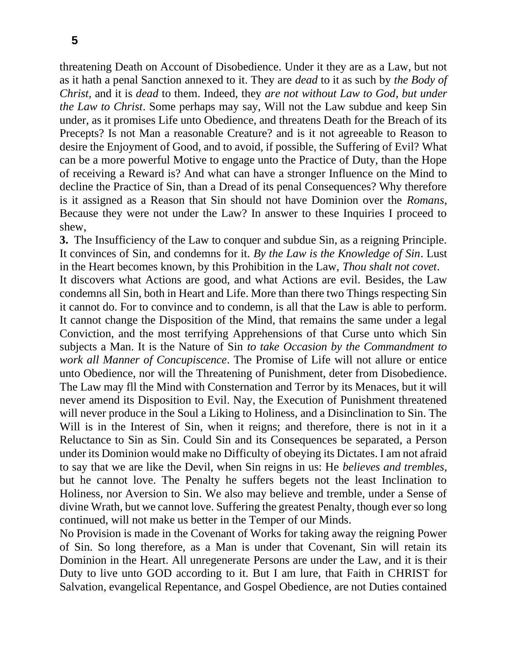threatening Death on Account of Disobedience. Under it they are as a Law, but not as it hath a penal Sanction annexed to it. They are *dead* to it as such by *the Body of Christ*, and it is *dead* to them. Indeed, they *are not without Law to God*, *but under the Law to Christ*. Some perhaps may say, Will not the Law subdue and keep Sin under, as it promises Life unto Obedience, and threatens Death for the Breach of its Precepts? Is not Man a reasonable Creature? and is it not agreeable to Reason to desire the Enjoyment of Good, and to avoid, if possible, the Suffering of Evil? What can be a more powerful Motive to engage unto the Practice of Duty, than the Hope of receiving a Reward is? And what can have a stronger Influence on the Mind to decline the Practice of Sin, than a Dread of its penal Consequences? Why therefore is it assigned as a Reason that Sin should not have Dominion over the *Romans*, Because they were not under the Law? In answer to these Inquiries I proceed to shew,

**3.** The Insufficiency of the Law to conquer and subdue Sin, as a reigning Principle. It convinces of Sin, and condemns for it. *By the Law is the Knowledge of Sin*. Lust in the Heart becomes known, by this Prohibition in the Law, *Thou shalt not covet*. It discovers what Actions are good, and what Actions are evil. Besides, the Law condemns all Sin, both in Heart and Life. More than there two Things respecting Sin it cannot do. For to convince and to condemn, is all that the Law is able to perform. It cannot change the Disposition of the Mind, that remains the same under a legal Conviction, and the most terrifying Apprehensions of that Curse unto which Sin subjects a Man. It is the Nature of Sin *to take Occasion by the Commandment to work all Manner of Concupiscence*. The Promise of Life will not allure or entice unto Obedience, nor will the Threatening of Punishment, deter from Disobedience. The Law may fll the Mind with Consternation and Terror by its Menaces, but it will never amend its Disposition to Evil. Nay, the Execution of Punishment threatened will never produce in the Soul a Liking to Holiness, and a Disinclination to Sin. The Will is in the Interest of Sin, when it reigns; and therefore, there is not in it a Reluctance to Sin as Sin. Could Sin and its Consequences be separated, a Person under its Dominion would make no Difficulty of obeying its Dictates. I am not afraid to say that we are like the Devil, when Sin reigns in us: He *believes and trembles*, but he cannot love. The Penalty he suffers begets not the least Inclination to Holiness, nor Aversion to Sin. We also may believe and tremble, under a Sense of divine Wrath, but we cannot love. Suffering the greatest Penalty, though ever so long continued, will not make us better in the Temper of our Minds.

No Provision is made in the Covenant of Works for taking away the reigning Power of Sin. So long therefore, as a Man is under that Covenant, Sin will retain its Dominion in the Heart. All unregenerate Persons are under the Law, and it is their Duty to live unto GOD according to it. But I am lure, that Faith in CHRIST for Salvation, evangelical Repentance, and Gospel Obedience, are not Duties contained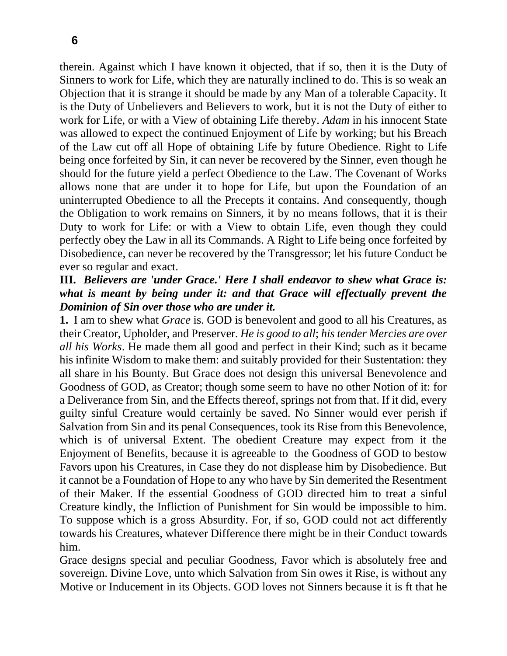therein. Against which I have known it objected, that if so, then it is the Duty of Sinners to work for Life, which they are naturally inclined to do. This is so weak an Objection that it is strange it should be made by any Man of a tolerable Capacity. It is the Duty of Unbelievers and Believers to work, but it is not the Duty of either to work for Life, or with a View of obtaining Life thereby. *Adam* in his innocent State was allowed to expect the continued Enjoyment of Life by working; but his Breach of the Law cut off all Hope of obtaining Life by future Obedience. Right to Life being once forfeited by Sin, it can never be recovered by the Sinner, even though he should for the future yield a perfect Obedience to the Law. The Covenant of Works allows none that are under it to hope for Life, but upon the Foundation of an uninterrupted Obedience to all the Precepts it contains. And consequently, though the Obligation to work remains on Sinners, it by no means follows, that it is their Duty to work for Life: or with a View to obtain Life, even though they could perfectly obey the Law in all its Commands. A Right to Life being once forfeited by Disobedience, can never be recovered by the Transgressor; let his future Conduct be ever so regular and exact.

#### **III.** *Believers are 'under Grace.' Here I shall endeavor to shew what Grace is: what is meant by being under it: and that Grace will effectually prevent the Dominion of Sin over those who are under it.*

**1.** I am to shew what *Grace* is. GOD is benevolent and good to all his Creatures, as their Creator, Upholder, and Preserver. *He is good to all*; *his tender Mercies are over all his Works*. He made them all good and perfect in their Kind; such as it became his infinite Wisdom to make them: and suitably provided for their Sustentation: they all share in his Bounty. But Grace does not design this universal Benevolence and Goodness of GOD, as Creator; though some seem to have no other Notion of it: for a Deliverance from Sin, and the Effects thereof, springs not from that. If it did, every guilty sinful Creature would certainly be saved. No Sinner would ever perish if Salvation from Sin and its penal Consequences, took its Rise from this Benevolence, which is of universal Extent. The obedient Creature may expect from it the Enjoyment of Benefits, because it is agreeable to the Goodness of GOD to bestow Favors upon his Creatures, in Case they do not displease him by Disobedience. But it cannot be a Foundation of Hope to any who have by Sin demerited the Resentment of their Maker. If the essential Goodness of GOD directed him to treat a sinful Creature kindly, the Infliction of Punishment for Sin would be impossible to him. To suppose which is a gross Absurdity. For, if so, GOD could not act differently towards his Creatures, whatever Difference there might be in their Conduct towards him.

Grace designs special and peculiar Goodness, Favor which is absolutely free and sovereign. Divine Love, unto which Salvation from Sin owes it Rise, is without any Motive or Inducement in its Objects. GOD loves not Sinners because it is ft that he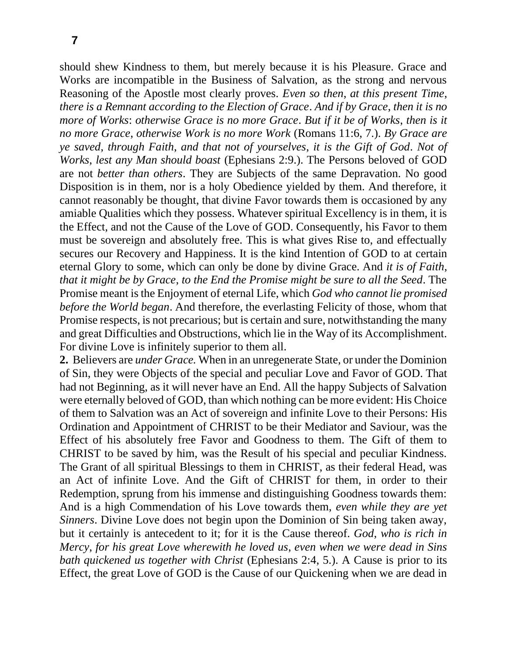should shew Kindness to them, but merely because it is his Pleasure. Grace and Works are incompatible in the Business of Salvation, as the strong and nervous Reasoning of the Apostle most clearly proves. *Even so then*, *at this present Time*, *there is a Remnant according to the Election of Grace*. *And if by Grace*, *then it is no more of Works*: *otherwise Grace is no more Grace*. *But if it be of Works*, *then is it no more Grace*, *otherwise Work is no more Work* (Romans 11:6, 7.). *By Grace are ye saved*, *through Faith*, *and that not of yourselves*, *it is the Gift of God*. *Not of Works*, *lest any Man should boast* (Ephesians 2:9.). The Persons beloved of GOD are not *better than others*. They are Subjects of the same Depravation. No good Disposition is in them, nor is a holy Obedience yielded by them. And therefore, it cannot reasonably be thought, that divine Favor towards them is occasioned by any amiable Qualities which they possess. Whatever spiritual Excellency is in them, it is the Effect, and not the Cause of the Love of GOD. Consequently, his Favor to them must be sovereign and absolutely free. This is what gives Rise to, and effectually secures our Recovery and Happiness. It is the kind Intention of GOD to at certain eternal Glory to some, which can only be done by divine Grace. And *it is of Faith*, *that it might be by Grace*, *to the End the Promise might be sure to all the Seed*. The Promise meant is the Enjoyment of eternal Life, which *God who cannot lie promised before the World began*. And therefore, the everlasting Felicity of those, whom that Promise respects, is not precarious; but is certain and sure, notwithstanding the many and great Difficulties and Obstructions, which lie in the Way of its Accomplishment. For divine Love is infinitely superior to them all.

**2.** Believers are *under Grace.* When in an unregenerate State, or under the Dominion of Sin, they were Objects of the special and peculiar Love and Favor of GOD. That had not Beginning, as it will never have an End. All the happy Subjects of Salvation were eternally beloved of GOD, than which nothing can be more evident: His Choice of them to Salvation was an Act of sovereign and infinite Love to their Persons: His Ordination and Appointment of CHRIST to be their Mediator and Saviour, was the Effect of his absolutely free Favor and Goodness to them. The Gift of them to CHRIST to be saved by him, was the Result of his special and peculiar Kindness. The Grant of all spiritual Blessings to them in CHRIST, as their federal Head, was an Act of infinite Love. And the Gift of CHRIST for them, in order to their Redemption, sprung from his immense and distinguishing Goodness towards them: And is a high Commendation of his Love towards them, *even while they are yet Sinners*. Divine Love does not begin upon the Dominion of Sin being taken away, but it certainly is antecedent to it; for it is the Cause thereof. *God*, *who is rich in Mercy*, *for his great Love wherewith he loved us*, *even when we were dead in Sins bath quickened us together with Christ* (Ephesians 2:4, 5.). A Cause is prior to its Effect, the great Love of GOD is the Cause of our Quickening when we are dead in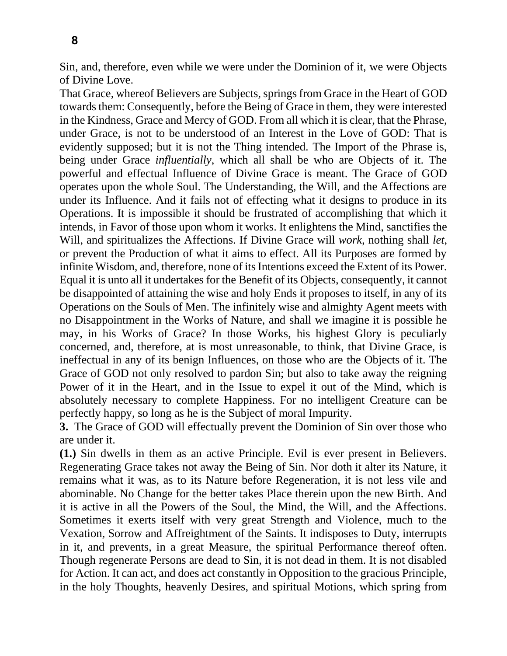Sin, and, therefore, even while we were under the Dominion of it, we were Objects of Divine Love.

That Grace, whereof Believers are Subjects, springs from Grace in the Heart of GOD towards them: Consequently, before the Being of Grace in them, they were interested in the Kindness, Grace and Mercy of GOD. From all which it is clear, that the Phrase, under Grace, is not to be understood of an Interest in the Love of GOD: That is evidently supposed; but it is not the Thing intended. The Import of the Phrase is, being under Grace *influentially*, which all shall be who are Objects of it. The powerful and effectual Influence of Divine Grace is meant. The Grace of GOD operates upon the whole Soul. The Understanding, the Will, and the Affections are under its Influence. And it fails not of effecting what it designs to produce in its Operations. It is impossible it should be frustrated of accomplishing that which it intends, in Favor of those upon whom it works. It enlightens the Mind, sanctifies the Will, and spiritualizes the Affections. If Divine Grace will *work*, nothing shall *let*, or prevent the Production of what it aims to effect. All its Purposes are formed by infinite Wisdom, and, therefore, none of its Intentions exceed the Extent of its Power. Equal it is unto all it undertakes for the Benefit of its Objects, consequently, it cannot be disappointed of attaining the wise and holy Ends it proposes to itself, in any of its Operations on the Souls of Men. The infinitely wise and almighty Agent meets with no Disappointment in the Works of Nature, and shall we imagine it is possible he may, in his Works of Grace? In those Works, his highest Glory is peculiarly concerned, and, therefore, at is most unreasonable, to think, that Divine Grace, is ineffectual in any of its benign Influences, on those who are the Objects of it. The Grace of GOD not only resolved to pardon Sin; but also to take away the reigning Power of it in the Heart, and in the Issue to expel it out of the Mind, which is absolutely necessary to complete Happiness. For no intelligent Creature can be perfectly happy, so long as he is the Subject of moral Impurity.

**3.** The Grace of GOD will effectually prevent the Dominion of Sin over those who are under it.

**(1.)** Sin dwells in them as an active Principle. Evil is ever present in Believers. Regenerating Grace takes not away the Being of Sin. Nor doth it alter its Nature, it remains what it was, as to its Nature before Regeneration, it is not less vile and abominable. No Change for the better takes Place therein upon the new Birth. And it is active in all the Powers of the Soul, the Mind, the Will, and the Affections. Sometimes it exerts itself with very great Strength and Violence, much to the Vexation, Sorrow and Affreightment of the Saints. It indisposes to Duty, interrupts in it, and prevents, in a great Measure, the spiritual Performance thereof often. Though regenerate Persons are dead to Sin, it is not dead in them. It is not disabled for Action. It can act, and does act constantly in Opposition to the gracious Principle, in the holy Thoughts, heavenly Desires, and spiritual Motions, which spring from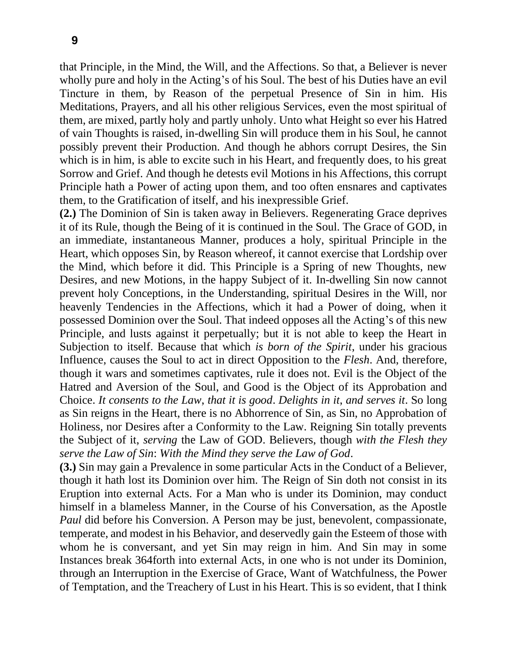that Principle, in the Mind, the Will, and the Affections. So that, a Believer is never wholly pure and holy in the Acting's of his Soul. The best of his Duties have an evil Tincture in them, by Reason of the perpetual Presence of Sin in him. His Meditations, Prayers, and all his other religious Services, even the most spiritual of them, are mixed, partly holy and partly unholy. Unto what Height so ever his Hatred of vain Thoughts is raised, in-dwelling Sin will produce them in his Soul, he cannot possibly prevent their Production. And though he abhors corrupt Desires, the Sin which is in him, is able to excite such in his Heart, and frequently does, to his great Sorrow and Grief. And though he detests evil Motions in his Affections, this corrupt Principle hath a Power of acting upon them, and too often ensnares and captivates them, to the Gratification of itself, and his inexpressible Grief.

**(2.)** The Dominion of Sin is taken away in Believers. Regenerating Grace deprives it of its Rule, though the Being of it is continued in the Soul. The Grace of GOD, in an immediate, instantaneous Manner, produces a holy, spiritual Principle in the Heart, which opposes Sin, by Reason whereof, it cannot exercise that Lordship over the Mind, which before it did. This Principle is a Spring of new Thoughts, new Desires, and new Motions, in the happy Subject of it. In-dwelling Sin now cannot prevent holy Conceptions, in the Understanding, spiritual Desires in the Will, nor heavenly Tendencies in the Affections, which it had a Power of doing, when it possessed Dominion over the Soul. That indeed opposes all the Acting's of this new Principle, and lusts against it perpetually; but it is not able to keep the Heart in Subjection to itself. Because that which *is born of the Spirit*, under his gracious Influence, causes the Soul to act in direct Opposition to the *Flesh*. And, therefore, though it wars and sometimes captivates, rule it does not. Evil is the Object of the Hatred and Aversion of the Soul, and Good is the Object of its Approbation and Choice. *It consents to the Law*, *that it is good*. *Delights in it*, *and serves it*. So long as Sin reigns in the Heart, there is no Abhorrence of Sin, as Sin, no Approbation of Holiness, nor Desires after a Conformity to the Law. Reigning Sin totally prevents the Subject of it, *serving* the Law of GOD. Believers, though *with the Flesh they serve the Law of Sin*: *With the Mind they serve the Law of God*.

**(3.)** Sin may gain a Prevalence in some particular Acts in the Conduct of a Believer, though it hath lost its Dominion over him. The Reign of Sin doth not consist in its Eruption into external Acts. For a Man who is under its Dominion, may conduct himself in a blameless Manner, in the Course of his Conversation, as the Apostle *Paul* did before his Conversion. A Person may be just, benevolent, compassionate, temperate, and modest in his Behavior, and deservedly gain the Esteem of those with whom he is conversant, and yet Sin may reign in him. And Sin may in some Instances break 364forth into external Acts, in one who is not under its Dominion, through an Interruption in the Exercise of Grace, Want of Watchfulness, the Power of Temptation, and the Treachery of Lust in his Heart. This is so evident, that I think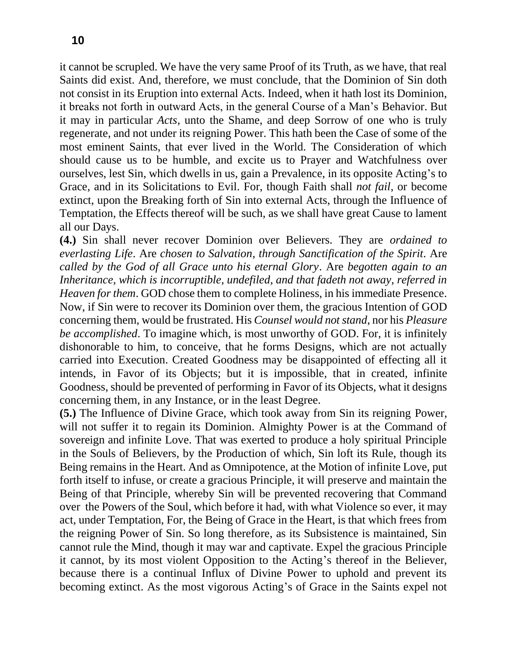it cannot be scrupled. We have the very same Proof of its Truth, as we have, that real Saints did exist. And, therefore, we must conclude, that the Dominion of Sin doth not consist in its Eruption into external Acts. Indeed, when it hath lost its Dominion, it breaks not forth in outward Acts, in the general Course of a Man's Behavior. But it may in particular *Acts*, unto the Shame, and deep Sorrow of one who is truly regenerate, and not under its reigning Power. This hath been the Case of some of the most eminent Saints, that ever lived in the World. The Consideration of which should cause us to be humble, and excite us to Prayer and Watchfulness over ourselves, lest Sin, which dwells in us, gain a Prevalence, in its opposite Acting's to Grace, and in its Solicitations to Evil. For, though Faith shall *not fail*, or become extinct, upon the Breaking forth of Sin into external Acts, through the Influence of Temptation, the Effects thereof will be such, as we shall have great Cause to lament all our Days.

**(4.)** Sin shall never recover Dominion over Believers. They are *ordained to everlasting Life*. Are *chosen to Salvation*, *through Sanctification of the Spirit*. Are *called by the God of all Grace unto his eternal Glory*. Are *begotten again to an Inheritance*, *which is incorruptible*, *undefiled*, *and that fadeth not away*, *referred in Heaven for them*. GOD chose them to complete Holiness, in his immediate Presence. Now, if Sin were to recover its Dominion over them, the gracious Intention of GOD concerning them, would be frustrated. His *Counsel would not stand*, nor his *Pleasure be accomplished*. To imagine which, is most unworthy of GOD. For, it is infinitely dishonorable to him, to conceive, that he forms Designs, which are not actually carried into Execution. Created Goodness may be disappointed of effecting all it intends, in Favor of its Objects; but it is impossible, that in created, infinite Goodness, should be prevented of performing in Favor of its Objects, what it designs concerning them, in any Instance, or in the least Degree.

**(5.)** The Influence of Divine Grace, which took away from Sin its reigning Power, will not suffer it to regain its Dominion. Almighty Power is at the Command of sovereign and infinite Love. That was exerted to produce a holy spiritual Principle in the Souls of Believers, by the Production of which, Sin loft its Rule, though its Being remains in the Heart. And as Omnipotence, at the Motion of infinite Love, put forth itself to infuse, or create a gracious Principle, it will preserve and maintain the Being of that Principle, whereby Sin will be prevented recovering that Command over the Powers of the Soul, which before it had, with what Violence so ever, it may act, under Temptation, For, the Being of Grace in the Heart, is that which frees from the reigning Power of Sin. So long therefore, as its Subsistence is maintained, Sin cannot rule the Mind, though it may war and captivate. Expel the gracious Principle it cannot, by its most violent Opposition to the Acting's thereof in the Believer, because there is a continual Influx of Divine Power to uphold and prevent its becoming extinct. As the most vigorous Acting's of Grace in the Saints expel not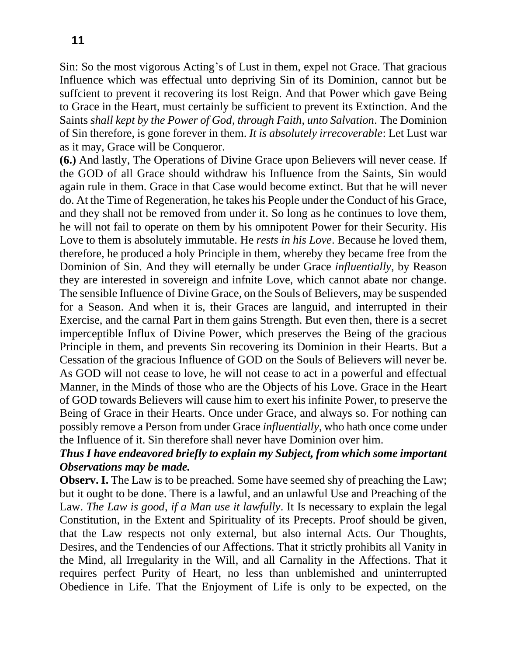Sin: So the most vigorous Acting's of Lust in them, expel not Grace. That gracious Influence which was effectual unto depriving Sin of its Dominion, cannot but be suffcient to prevent it recovering its lost Reign. And that Power which gave Being to Grace in the Heart, must certainly be sufficient to prevent its Extinction. And the Saints *shall kept by the Power of God*, *through Faith*, *unto Salvation*. The Dominion of Sin therefore, is gone forever in them. *It is absolutely irrecoverable*: Let Lust war as it may, Grace will be Conqueror.

**(6.)** And lastly, The Operations of Divine Grace upon Believers will never cease. If the GOD of all Grace should withdraw his Influence from the Saints, Sin would again rule in them. Grace in that Case would become extinct. But that he will never do. At the Time of Regeneration, he takes his People under the Conduct of his Grace, and they shall not be removed from under it. So long as he continues to love them, he will not fail to operate on them by his omnipotent Power for their Security. His Love to them is absolutely immutable. He *rests in his Love*. Because he loved them, therefore, he produced a holy Principle in them, whereby they became free from the Dominion of Sin. And they will eternally be under Grace *influentially*, by Reason they are interested in sovereign and infnite Love, which cannot abate nor change. The sensible Influence of Divine Grace, on the Souls of Believers, may be suspended for a Season. And when it is, their Graces are languid, and interrupted in their Exercise, and the carnal Part in them gains Strength. But even then, there is a secret imperceptible Influx of Divine Power, which preserves the Being of the gracious Principle in them, and prevents Sin recovering its Dominion in their Hearts. But a Cessation of the gracious Influence of GOD on the Souls of Believers will never be. As GOD will not cease to love, he will not cease to act in a powerful and effectual Manner, in the Minds of those who are the Objects of his Love. Grace in the Heart of GOD towards Believers will cause him to exert his infinite Power, to preserve the Being of Grace in their Hearts. Once under Grace, and always so. For nothing can possibly remove a Person from under Grace *influentially*, who hath once come under the Influence of it. Sin therefore shall never have Dominion over him.

### *Thus I have endeavored briefly to explain my Subject, from which some important Observations may be made.*

**Observ. I.** The Law is to be preached. Some have seemed shy of preaching the Law; but it ought to be done. There is a lawful, and an unlawful Use and Preaching of the Law. *The Law is good*, *if a Man use it lawfully*. It Is necessary to explain the legal Constitution, in the Extent and Spirituality of its Precepts. Proof should be given, that the Law respects not only external, but also internal Acts. Our Thoughts, Desires, and the Tendencies of our Affections. That it strictly prohibits all Vanity in the Mind, all Irregularity in the Will, and all Carnality in the Affections. That it requires perfect Purity of Heart, no less than unblemished and uninterrupted Obedience in Life. That the Enjoyment of Life is only to be expected, on the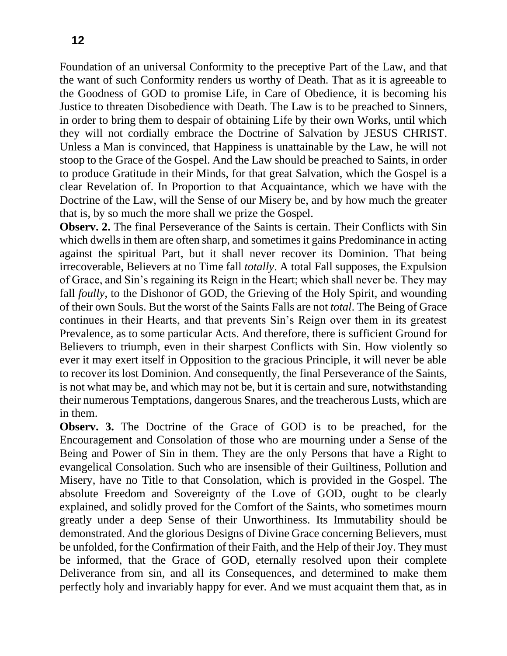Foundation of an universal Conformity to the preceptive Part of the Law, and that the want of such Conformity renders us worthy of Death. That as it is agreeable to the Goodness of GOD to promise Life, in Care of Obedience, it is becoming his Justice to threaten Disobedience with Death. The Law is to be preached to Sinners, in order to bring them to despair of obtaining Life by their own Works, until which they will not cordially embrace the Doctrine of Salvation by JESUS CHRIST. Unless a Man is convinced, that Happiness is unattainable by the Law, he will not stoop to the Grace of the Gospel. And the Law should be preached to Saints, in order to produce Gratitude in their Minds, for that great Salvation, which the Gospel is a clear Revelation of. In Proportion to that Acquaintance, which we have with the Doctrine of the Law, will the Sense of our Misery be, and by how much the greater that is, by so much the more shall we prize the Gospel.

**Observ. 2.** The final Perseverance of the Saints is certain. Their Conflicts with Sin which dwells in them are often sharp, and sometimes it gains Predominance in acting against the spiritual Part, but it shall never recover its Dominion. That being irrecoverable, Believers at no Time fall *totally*. A total Fall supposes, the Expulsion of Grace, and Sin's regaining its Reign in the Heart; which shall never be. They may fall *foully*, to the Dishonor of GOD, the Grieving of the Holy Spirit, and wounding of their own Souls. But the worst of the Saints Falls are not *total*. The Being of Grace continues in their Hearts, and that prevents Sin's Reign over them in its greatest Prevalence, as to some particular Acts. And therefore, there is sufficient Ground for Believers to triumph, even in their sharpest Conflicts with Sin. How violently so ever it may exert itself in Opposition to the gracious Principle, it will never be able to recover its lost Dominion. And consequently, the final Perseverance of the Saints, is not what may be, and which may not be, but it is certain and sure, notwithstanding their numerous Temptations, dangerous Snares, and the treacherous Lusts, which are in them.

**Observ. 3.** The Doctrine of the Grace of GOD is to be preached, for the Encouragement and Consolation of those who are mourning under a Sense of the Being and Power of Sin in them. They are the only Persons that have a Right to evangelical Consolation. Such who are insensible of their Guiltiness, Pollution and Misery, have no Title to that Consolation, which is provided in the Gospel. The absolute Freedom and Sovereignty of the Love of GOD, ought to be clearly explained, and solidly proved for the Comfort of the Saints, who sometimes mourn greatly under a deep Sense of their Unworthiness. Its Immutability should be demonstrated. And the glorious Designs of Divine Grace concerning Believers, must be unfolded, for the Confirmation of their Faith, and the Help of their Joy. They must be informed, that the Grace of GOD, eternally resolved upon their complete Deliverance from sin, and all its Consequences, and determined to make them perfectly holy and invariably happy for ever. And we must acquaint them that, as in